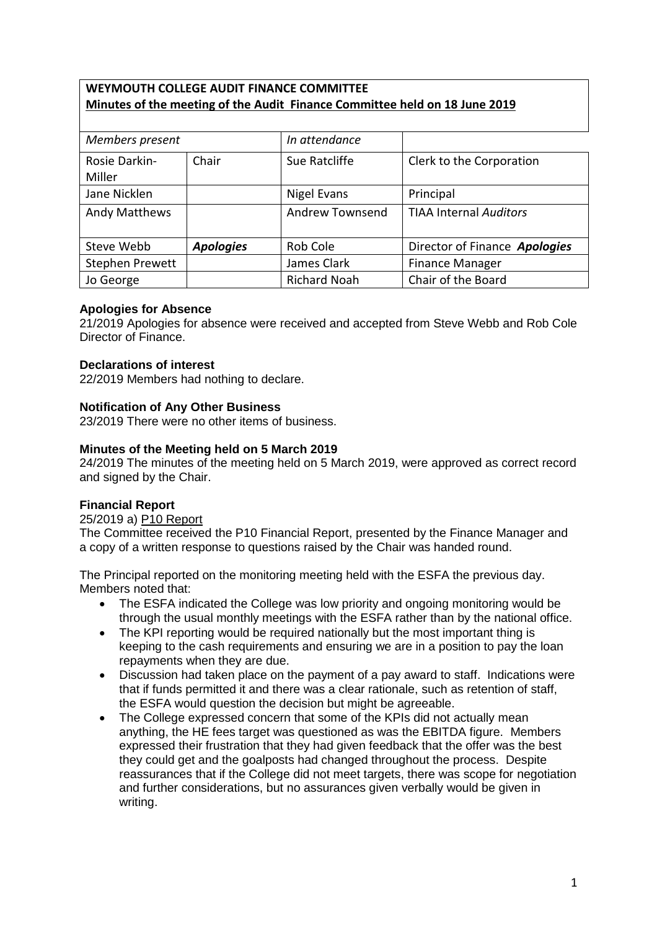# **WEYMOUTH COLLEGE AUDIT FINANCE COMMITTEE Minutes of the meeting of the Audit Finance Committee held on 18 June 2019**

| Members present         |                  | In attendance          |                               |
|-------------------------|------------------|------------------------|-------------------------------|
| Rosie Darkin-<br>Miller | Chair            | Sue Ratcliffe          | Clerk to the Corporation      |
| Jane Nicklen            |                  | Nigel Evans            | Principal                     |
| <b>Andy Matthews</b>    |                  | <b>Andrew Townsend</b> | <b>TIAA Internal Auditors</b> |
| Steve Webb              | <b>Apologies</b> | Rob Cole               | Director of Finance Apologies |
| Stephen Prewett         |                  | James Clark            | <b>Finance Manager</b>        |
| Jo George               |                  | <b>Richard Noah</b>    | Chair of the Board            |

### **Apologies for Absence**

21/2019 Apologies for absence were received and accepted from Steve Webb and Rob Cole Director of Finance.

## **Declarations of interest**

22/2019 Members had nothing to declare.

## **Notification of Any Other Business**

23/2019 There were no other items of business.

### **Minutes of the Meeting held on 5 March 2019**

24/2019 The minutes of the meeting held on 5 March 2019, were approved as correct record and signed by the Chair.

### **Financial Report**

25/2019 a) P10 Report

The Committee received the P10 Financial Report, presented by the Finance Manager and a copy of a written response to questions raised by the Chair was handed round.

The Principal reported on the monitoring meeting held with the ESFA the previous day. Members noted that:

- The ESFA indicated the College was low priority and ongoing monitoring would be through the usual monthly meetings with the ESFA rather than by the national office.
- The KPI reporting would be required nationally but the most important thing is keeping to the cash requirements and ensuring we are in a position to pay the loan repayments when they are due.
- Discussion had taken place on the payment of a pay award to staff. Indications were that if funds permitted it and there was a clear rationale, such as retention of staff, the ESFA would question the decision but might be agreeable.
- The College expressed concern that some of the KPIs did not actually mean anything, the HE fees target was questioned as was the EBITDA figure. Members expressed their frustration that they had given feedback that the offer was the best they could get and the goalposts had changed throughout the process. Despite reassurances that if the College did not meet targets, there was scope for negotiation and further considerations, but no assurances given verbally would be given in writing.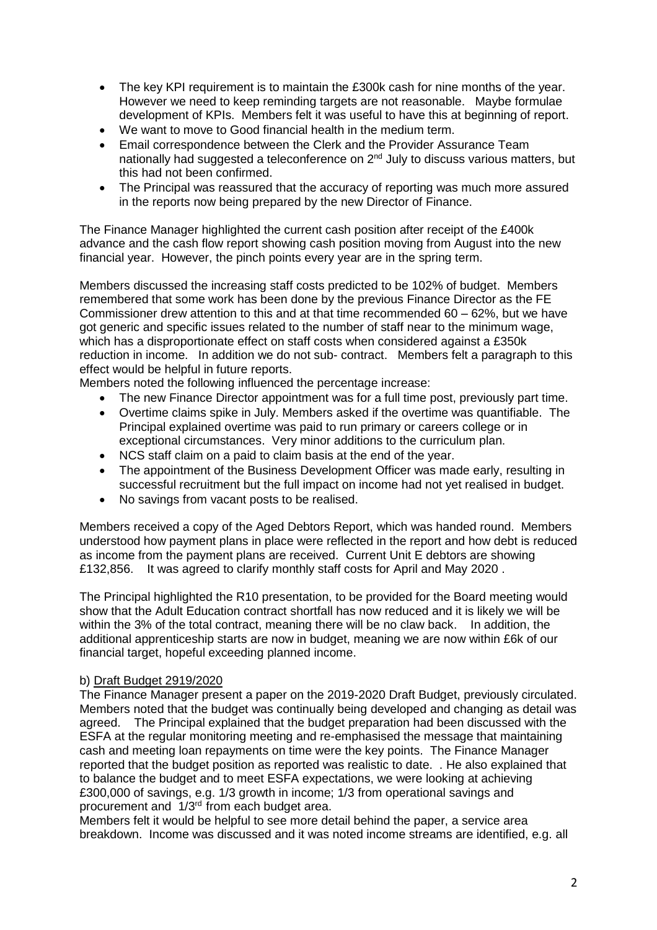- The key KPI requirement is to maintain the £300k cash for nine months of the year. However we need to keep reminding targets are not reasonable. Maybe formulae development of KPIs. Members felt it was useful to have this at beginning of report.
- We want to move to Good financial health in the medium term.
- Email correspondence between the Clerk and the Provider Assurance Team nationally had suggested a teleconference on 2<sup>nd</sup> July to discuss various matters, but this had not been confirmed.
- The Principal was reassured that the accuracy of reporting was much more assured in the reports now being prepared by the new Director of Finance.

The Finance Manager highlighted the current cash position after receipt of the £400k advance and the cash flow report showing cash position moving from August into the new financial year. However, the pinch points every year are in the spring term.

Members discussed the increasing staff costs predicted to be 102% of budget. Members remembered that some work has been done by the previous Finance Director as the FE Commissioner drew attention to this and at that time recommended 60 – 62%, but we have got generic and specific issues related to the number of staff near to the minimum wage, which has a disproportionate effect on staff costs when considered against a £350k reduction in income. In addition we do not sub- contract. Members felt a paragraph to this effect would be helpful in future reports.

Members noted the following influenced the percentage increase:

- The new Finance Director appointment was for a full time post, previously part time.
- Overtime claims spike in July. Members asked if the overtime was quantifiable. The Principal explained overtime was paid to run primary or careers college or in exceptional circumstances. Very minor additions to the curriculum plan.
- NCS staff claim on a paid to claim basis at the end of the year.
- The appointment of the Business Development Officer was made early, resulting in successful recruitment but the full impact on income had not yet realised in budget.
- No savings from vacant posts to be realised.

Members received a copy of the Aged Debtors Report, which was handed round. Members understood how payment plans in place were reflected in the report and how debt is reduced as income from the payment plans are received. Current Unit E debtors are showing £132,856. It was agreed to clarify monthly staff costs for April and May 2020 .

The Principal highlighted the R10 presentation, to be provided for the Board meeting would show that the Adult Education contract shortfall has now reduced and it is likely we will be within the 3% of the total contract, meaning there will be no claw back. In addition, the additional apprenticeship starts are now in budget, meaning we are now within £6k of our financial target, hopeful exceeding planned income.

### b) Draft Budget 2919/2020

The Finance Manager present a paper on the 2019-2020 Draft Budget, previously circulated. Members noted that the budget was continually being developed and changing as detail was agreed. The Principal explained that the budget preparation had been discussed with the ESFA at the regular monitoring meeting and re-emphasised the message that maintaining cash and meeting loan repayments on time were the key points. The [Finance](file://///Finance) Manager reported that the budget position as reported was realistic to date. . He also explained that to balance the budget and to meet ESFA expectations, we were looking at achieving £300,000 of savings, e.g. 1/3 growth in income; 1/3 from operational savings and procurement and 1/3rd from each budget area.

Members felt it would be helpful to see more detail behind the paper, a service area breakdown. Income was discussed and it was noted income streams are identified, e.g. all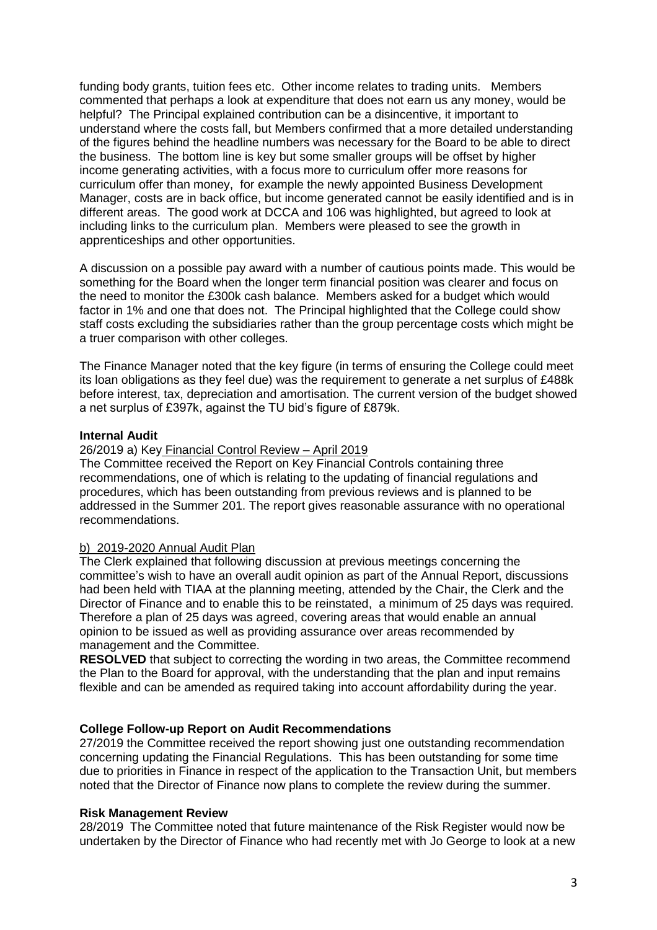funding body grants, tuition fees etc. Other income relates to trading units. Members commented that perhaps a look at expenditure that does not earn us any money, would be helpful? The Principal explained contribution can be a disincentive, it important to understand where the costs fall, but Members confirmed that a more detailed understanding of the figures behind the headline numbers was necessary for the Board to be able to direct the business. The bottom line is key but some smaller groups will be offset by higher income generating activities, with a focus more to curriculum offer more reasons for curriculum offer than money, for example the newly appointed Business Development Manager, costs are in back office, but income generated cannot be easily identified and is in different areas. The good work at DCCA and 106 was highlighted, but agreed to look at including links to the curriculum plan. Members were pleased to see the growth in apprenticeships and other opportunities.

A discussion on a possible pay award with a number of cautious points made. This would be something for the Board when the longer term financial position was clearer and focus on the need to monitor the £300k cash balance. Members asked for a budget which would factor in 1% and one that does not. The Principal highlighted that the College could show staff costs excluding the subsidiaries rather than the group percentage costs which might be a truer comparison with other colleges.

The Finance Manager noted that the key figure (in terms of ensuring the College could meet its loan obligations as they feel due) was the requirement to generate a net surplus of £488k before interest, tax, depreciation and amortisation. The current version of the budget showed a net surplus of £397k, against the TU bid's figure of £879k.

### **Internal Audit**

### 26/2019 a) Key Financial Control Review – April 2019

The Committee received the Report on Key Financial Controls containing three recommendations, one of which is relating to the updating of financial regulations and procedures, which has been outstanding from previous reviews and is planned to be addressed in the Summer 201. The report gives reasonable assurance with no operational recommendations.

#### b) 2019-2020 Annual Audit Plan

The Clerk explained that following discussion at previous meetings concerning the committee's wish to have an overall audit opinion as part of the Annual Report, discussions had been held with TIAA at the planning meeting, attended by the Chair, the Clerk and the Director of Finance and to enable this to be reinstated, a minimum of 25 days was required. Therefore a plan of 25 days was agreed, covering areas that would enable an annual opinion to be issued as well as providing assurance over areas recommended by management and the Committee.

**RESOLVED** that subject to correcting the wording in two areas, the Committee recommend the Plan to the Board for approval, with the understanding that the plan and input remains flexible and can be amended as required taking into account affordability during the year.

#### **College Follow-up Report on Audit Recommendations**

27/2019 the Committee received the report showing just one outstanding recommendation concerning updating the Financial Regulations. This has been outstanding for some time due to priorities in Finance in respect of the application to the Transaction Unit, but members noted that the Director of Finance now plans to complete the review during the summer.

#### **Risk Management Review**

28/2019 The Committee noted that future maintenance of the Risk Register would now be undertaken by the Director of Finance who had recently met with Jo George to look at a new